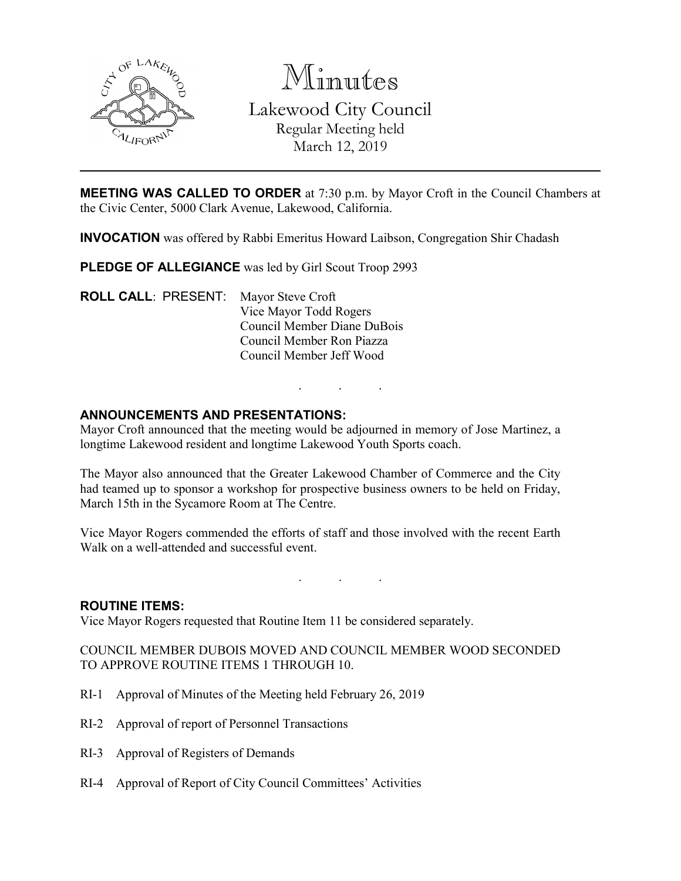

Minutes Lakewood City Council Regular Meeting held March 12, 2019

**MEETING WAS CALLED TO ORDER** at 7:30 p.m. by Mayor Croft in the Council Chambers at the Civic Center, 5000 Clark Avenue, Lakewood, California.

**INVOCATION** was offered by Rabbi Emeritus Howard Laibson, Congregation Shir Chadash

PLEDGE OF ALLEGIANCE was led by Girl Scout Troop 2993

**ROLL CALL**: PRESENT: Mayor Steve Croft Vice Mayor Todd Rogers Council Member Diane DuBois Council Member Ron Piazza Council Member Jeff Wood

## **ANNOUNCEMENTS AND PRESENTATIONS:**

Mayor Croft announced that the meeting would be adjourned in memory of Jose Martinez, a longtime Lakewood resident and longtime Lakewood Youth Sports coach.

. . .

The Mayor also announced that the Greater Lakewood Chamber of Commerce and the City had teamed up to sponsor a workshop for prospective business owners to be held on Friday, March 15th in the Sycamore Room at The Centre.

Vice Mayor Rogers commended the efforts of staff and those involved with the recent Earth Walk on a well-attended and successful event.

. . .

### **ROUTINE ITEMS:**

Vice Mayor Rogers requested that Routine Item 11 be considered separately.

COUNCIL MEMBER DUBOIS MOVED AND COUNCIL MEMBER WOOD SECONDED TO APPROVE ROUTINE ITEMS 1 THROUGH 10.

- RI-1 Approval of Minutes of the Meeting held February 26, 2019
- RI-2 Approval of report of Personnel Transactions
- RI-3 Approval of Registers of Demands
- RI-4 Approval of Report of City Council Committees' Activities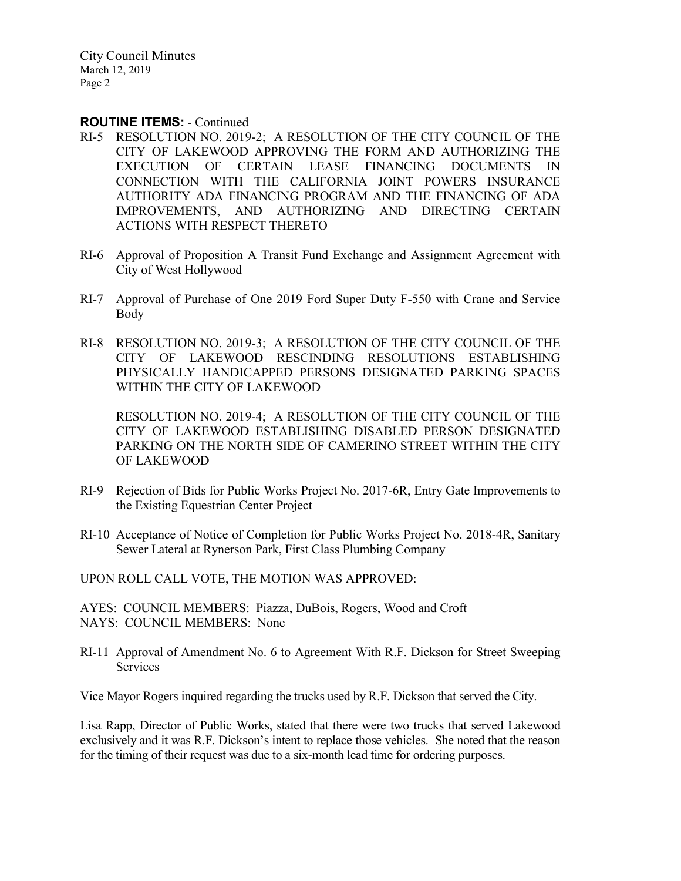City Council Minutes March 12, 2019 Page 2

### **ROUTINE ITEMS:** - Continued

- RI-5 RESOLUTION NO. 2019-2; A RESOLUTION OF THE CITY COUNCIL OF THE CITY OF LAKEWOOD APPROVING THE FORM AND AUTHORIZING THE EXECUTION OF CERTAIN LEASE FINANCING DOCUMENTS IN CONNECTION WITH THE CALIFORNIA JOINT POWERS INSURANCE AUTHORITY ADA FINANCING PROGRAM AND THE FINANCING OF ADA IMPROVEMENTS, AND AUTHORIZING AND DIRECTING CERTAIN ACTIONS WITH RESPECT THERETO
- RI-6 Approval of Proposition A Transit Fund Exchange and Assignment Agreement with City of West Hollywood
- RI-7 Approval of Purchase of One 2019 Ford Super Duty F-550 with Crane and Service Body
- RI-8 RESOLUTION NO. 2019-3; A RESOLUTION OF THE CITY COUNCIL OF THE CITY OF LAKEWOOD RESCINDING RESOLUTIONS ESTABLISHING PHYSICALLY HANDICAPPED PERSONS DESIGNATED PARKING SPACES WITHIN THE CITY OF LAKEWOOD

RESOLUTION NO. 2019-4; A RESOLUTION OF THE CITY COUNCIL OF THE CITY OF LAKEWOOD ESTABLISHING DISABLED PERSON DESIGNATED PARKING ON THE NORTH SIDE OF CAMERINO STREET WITHIN THE CITY OF LAKEWOOD

- RI-9 Rejection of Bids for Public Works Project No. 2017-6R, Entry Gate Improvements to the Existing Equestrian Center Project
- RI-10 Acceptance of Notice of Completion for Public Works Project No. 2018-4R, Sanitary Sewer Lateral at Rynerson Park, First Class Plumbing Company

UPON ROLL CALL VOTE, THE MOTION WAS APPROVED:

AYES: COUNCIL MEMBERS: Piazza, DuBois, Rogers, Wood and Croft NAYS: COUNCIL MEMBERS: None

RI-11 Approval of Amendment No. 6 to Agreement With R.F. Dickson for Street Sweeping Services

Vice Mayor Rogers inquired regarding the trucks used by R.F. Dickson that served the City.

Lisa Rapp, Director of Public Works, stated that there were two trucks that served Lakewood exclusively and it was R.F. Dickson's intent to replace those vehicles. She noted that the reason for the timing of their request was due to a six-month lead time for ordering purposes.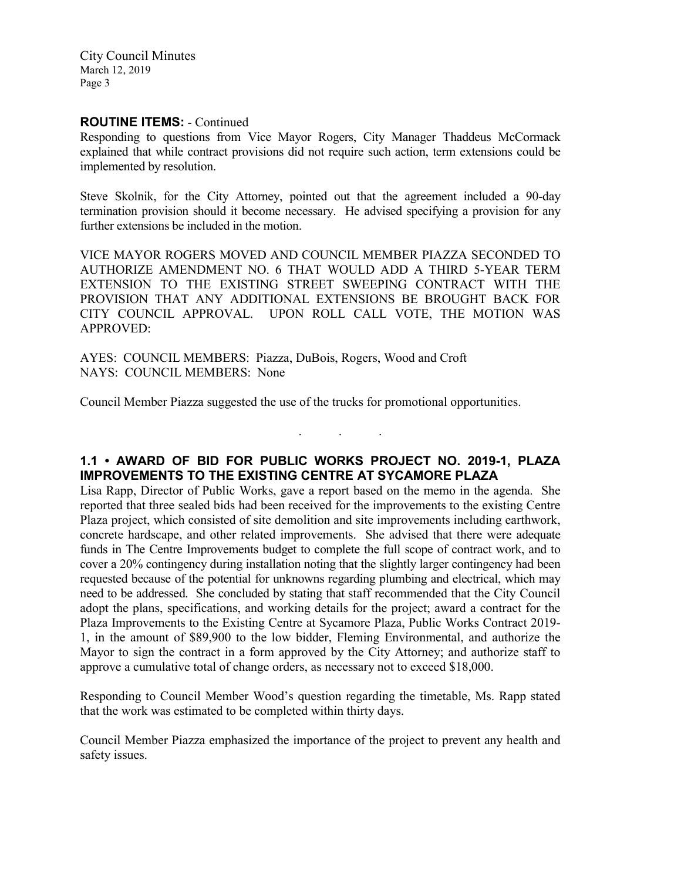City Council Minutes March 12, 2019 Page 3

# **ROUTINE ITEMS:** - Continued

Responding to questions from Vice Mayor Rogers, City Manager Thaddeus McCormack explained that while contract provisions did not require such action, term extensions could be implemented by resolution.

Steve Skolnik, for the City Attorney, pointed out that the agreement included a 90-day termination provision should it become necessary. He advised specifying a provision for any further extensions be included in the motion.

VICE MAYOR ROGERS MOVED AND COUNCIL MEMBER PIAZZA SECONDED TO AUTHORIZE AMENDMENT NO. 6 THAT WOULD ADD A THIRD 5-YEAR TERM EXTENSION TO THE EXISTING STREET SWEEPING CONTRACT WITH THE PROVISION THAT ANY ADDITIONAL EXTENSIONS BE BROUGHT BACK FOR CITY COUNCIL APPROVAL. UPON ROLL CALL VOTE, THE MOTION WAS APPROVED:

AYES: COUNCIL MEMBERS: Piazza, DuBois, Rogers, Wood and Croft NAYS: COUNCIL MEMBERS: None

Council Member Piazza suggested the use of the trucks for promotional opportunities.

## **1.1 • AWARD OF BID FOR PUBLIC WORKS PROJECT NO. 2019-1, PLAZA IMPROVEMENTS TO THE EXISTING CENTRE AT SYCAMORE PLAZA**

. . .

Lisa Rapp, Director of Public Works, gave a report based on the memo in the agenda. She reported that three sealed bids had been received for the improvements to the existing Centre Plaza project, which consisted of site demolition and site improvements including earthwork, concrete hardscape, and other related improvements. She advised that there were adequate funds in The Centre Improvements budget to complete the full scope of contract work, and to cover a 20% contingency during installation noting that the slightly larger contingency had been requested because of the potential for unknowns regarding plumbing and electrical, which may need to be addressed. She concluded by stating that staff recommended that the City Council adopt the plans, specifications, and working details for the project; award a contract for the Plaza Improvements to the Existing Centre at Sycamore Plaza, Public Works Contract 2019- 1, in the amount of \$89,900 to the low bidder, Fleming Environmental, and authorize the Mayor to sign the contract in a form approved by the City Attorney; and authorize staff to approve a cumulative total of change orders, as necessary not to exceed \$18,000.

Responding to Council Member Wood's question regarding the timetable, Ms. Rapp stated that the work was estimated to be completed within thirty days.

Council Member Piazza emphasized the importance of the project to prevent any health and safety issues.